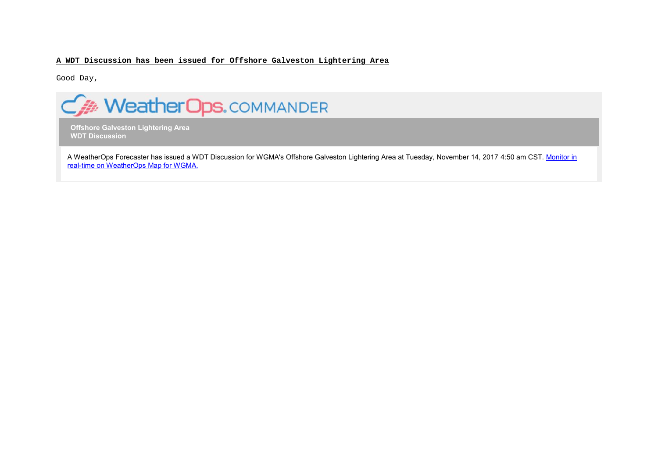# **A WDT Discussion has been issued for Offshore Galveston Lightering Area**

Good Day,



**Offshore Galveston Lightering Area WDT Discussion**

A WeatherOps Forecaster has issued a WDT Discussion for WGMA's Offshore Galveston Lightering Area at Tuesday, November 14, 2017 4:50 am CST. Monitor in real-time on WeatherOps Map for WGMA.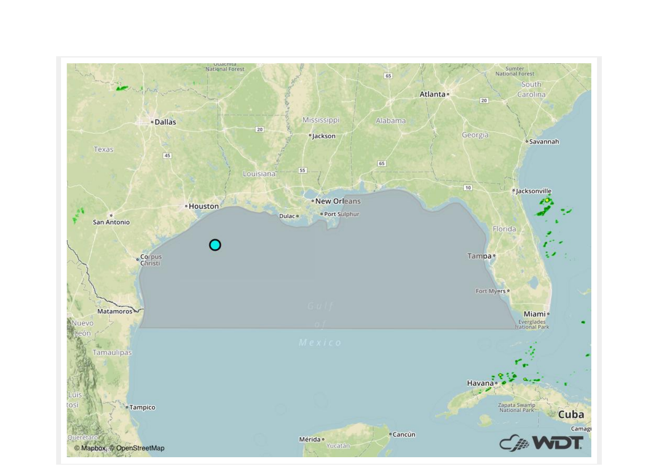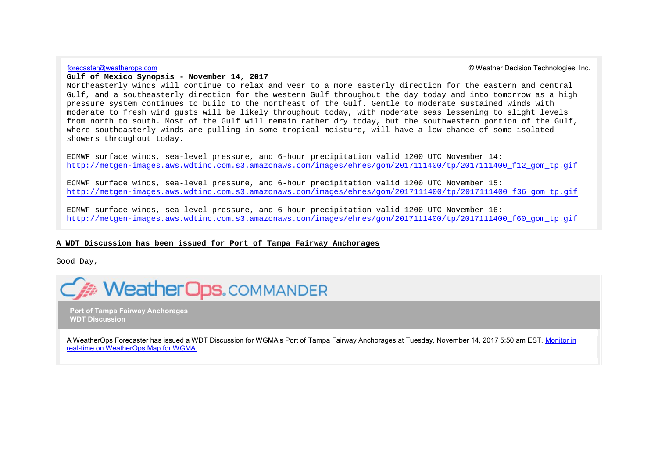### **Gulf of Mexico Synopsis - November 14, 2017**

Northeasterly winds will continue to relax and veer to a more easterly direction for the eastern and central Gulf, and a southeasterly direction for the western Gulf throughout the day today and into tomorrow as a high pressure system continues to build to the northeast of the Gulf. Gentle to moderate sustained winds with moderate to fresh wind gusts will be likely throughout today, with moderate seas lessening to slight levels from north to south. Most of the Gulf will remain rather dry today, but the southwestern portion of the Gulf, where southeasterly winds are pulling in some tropical moisture, will have a low chance of some isolated showers throughout today.

ECMWF surface winds, sea-level pressure, and 6-hour precipitation valid 1200 UTC November 14: http://metgen-images.aws.wdtinc.com.s3.amazonaws.com/images/ehres/gom/2017111400/tp/2017111400\_f12\_gom\_tp.gif

ECMWF surface winds, sea-level pressure, and 6-hour precipitation valid 1200 UTC November 15: http://metgen-images.aws.wdtinc.com.s3.amazonaws.com/images/ehres/gom/2017111400/tp/2017111400\_f36\_gom\_tp.gif

ECMWF surface winds, sea-level pressure, and 6-hour precipitation valid 1200 UTC November 16: http://metgen-images.aws.wdtinc.com.s3.amazonaws.com/images/ehres/gom/2017111400/tp/2017111400\_f60\_gom\_tp.gif

### **A WDT Discussion has been issued for Port of Tampa Fairway Anchorages**

Good Day,



**Port of Tampa Fairway Anchorages WDT Discussion**

A WeatherOps Forecaster has issued a WDT Discussion for WGMA's Port of Tampa Fairway Anchorages at Tuesday, November 14, 2017 5:50 am EST. Monitor in real-time on WeatherOps Map for WGMA.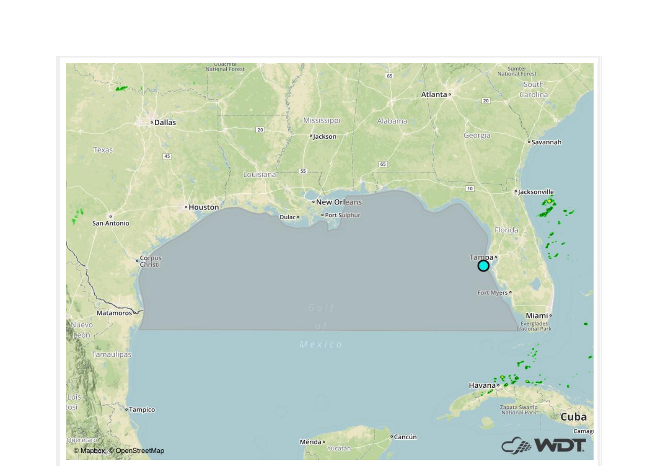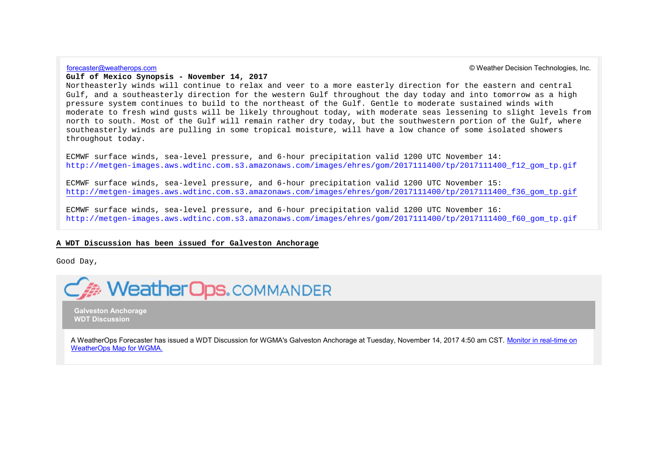### **Gulf of Mexico Synopsis - November 14, 2017**

Northeasterly winds will continue to relax and veer to a more easterly direction for the eastern and central Gulf, and a southeasterly direction for the western Gulf throughout the day today and into tomorrow as a high pressure system continues to build to the northeast of the Gulf. Gentle to moderate sustained winds with moderate to fresh wind gusts will be likely throughout today, with moderate seas lessening to slight levels from north to south. Most of the Gulf will remain rather dry today, but the southwestern portion of the Gulf, where southeasterly winds are pulling in some tropical moisture, will have a low chance of some isolated showers throughout today.

ECMWF surface winds, sea-level pressure, and 6-hour precipitation valid 1200 UTC November 14: http://metgen-images.aws.wdtinc.com.s3.amazonaws.com/images/ehres/gom/2017111400/tp/2017111400\_f12\_gom\_tp.gif

ECMWF surface winds, sea-level pressure, and 6-hour precipitation valid 1200 UTC November 15: http://metgen-images.aws.wdtinc.com.s3.amazonaws.com/images/ehres/gom/2017111400/tp/2017111400\_f36\_gom\_tp.gif

ECMWF surface winds, sea-level pressure, and 6-hour precipitation valid 1200 UTC November 16: http://metgen-images.aws.wdtinc.com.s3.amazonaws.com/images/ehres/gom/2017111400/tp/2017111400\_f60\_gom\_tp.gif

## **A WDT Discussion has been issued for Galveston Anchorage**

Good Day,



**Galveston Anchorage WDT Discussion**

A WeatherOps Forecaster has issued a WDT Discussion for WGMA's Galveston Anchorage at Tuesday, November 14, 2017 4:50 am CST. Monitor in real-time on WeatherOps Map for WGMA.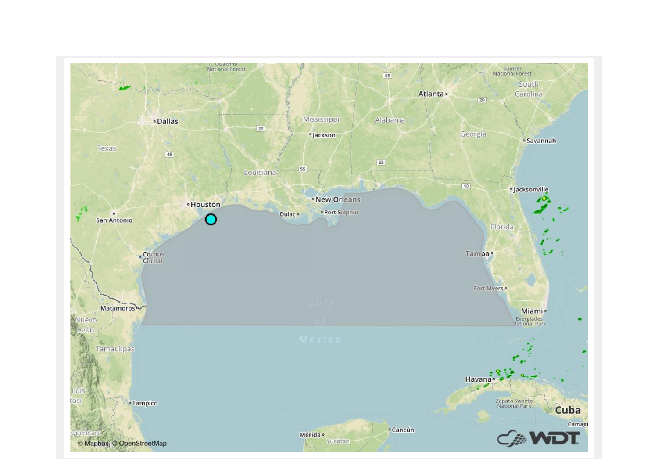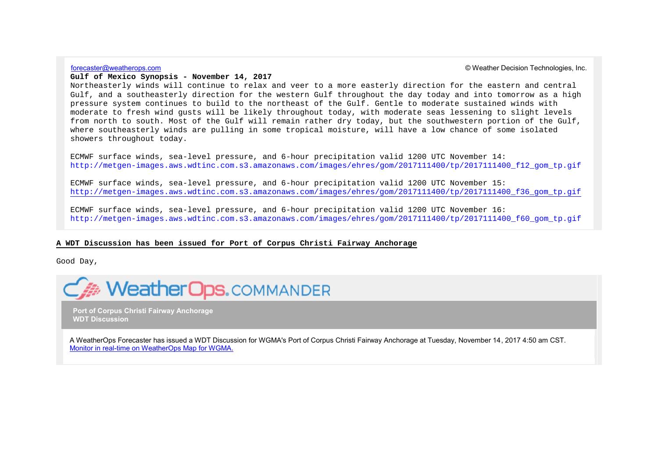### **Gulf of Mexico Synopsis - November 14, 2017**

Northeasterly winds will continue to relax and veer to a more easterly direction for the eastern and central Gulf, and a southeasterly direction for the western Gulf throughout the day today and into tomorrow as a high pressure system continues to build to the northeast of the Gulf. Gentle to moderate sustained winds with moderate to fresh wind gusts will be likely throughout today, with moderate seas lessening to slight levels from north to south. Most of the Gulf will remain rather dry today, but the southwestern portion of the Gulf, where southeasterly winds are pulling in some tropical moisture, will have a low chance of some isolated showers throughout today.

ECMWF surface winds, sea-level pressure, and 6-hour precipitation valid 1200 UTC November 14: http://metgen-images.aws.wdtinc.com.s3.amazonaws.com/images/ehres/gom/2017111400/tp/2017111400\_f12\_gom\_tp.gif

ECMWF surface winds, sea-level pressure, and 6-hour precipitation valid 1200 UTC November 15: http://metgen-images.aws.wdtinc.com.s3.amazonaws.com/images/ehres/gom/2017111400/tp/2017111400\_f36\_gom\_tp.gif

ECMWF surface winds, sea-level pressure, and 6-hour precipitation valid 1200 UTC November 16: http://metgen-images.aws.wdtinc.com.s3.amazonaws.com/images/ehres/gom/2017111400/tp/2017111400\_f60\_gom\_tp.gif

## **A WDT Discussion has been issued for Port of Corpus Christi Fairway Anchorage**

Good Day,



**Port of Corpus Christi Fairway Anchorage WDT Discussion**

A WeatherOps Forecaster has issued a WDT Discussion for WGMA's Port of Corpus Christi Fairway Anchorage at Tuesday, November 14, 2017 4:50 am CST. Monitor in real-time on WeatherOps Map for WGMA.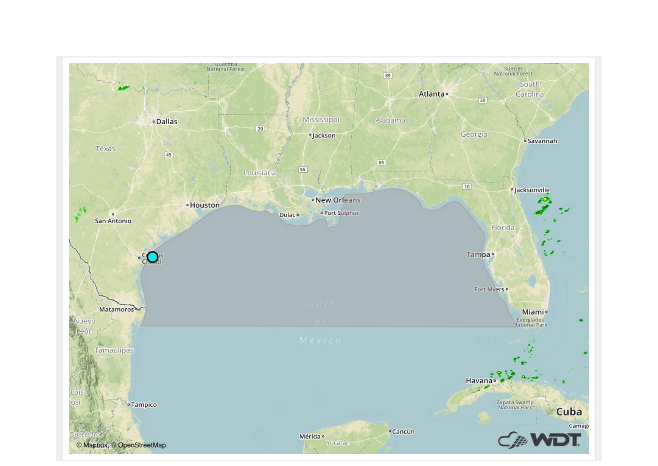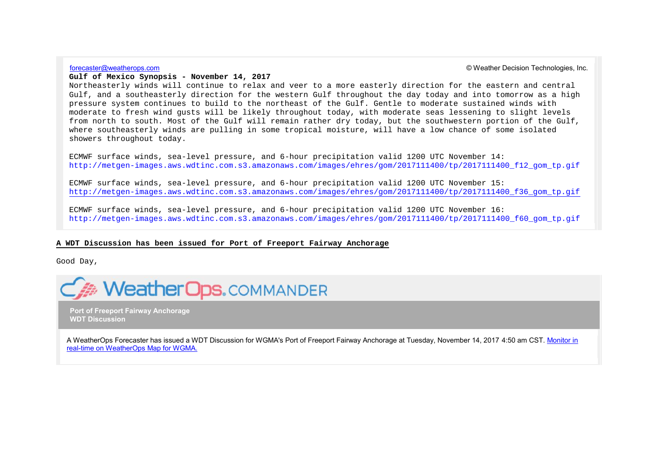### **Gulf of Mexico Synopsis - November 14, 2017**

Northeasterly winds will continue to relax and veer to a more easterly direction for the eastern and central Gulf, and a southeasterly direction for the western Gulf throughout the day today and into tomorrow as a high pressure system continues to build to the northeast of the Gulf. Gentle to moderate sustained winds with moderate to fresh wind gusts will be likely throughout today, with moderate seas lessening to slight levels from north to south. Most of the Gulf will remain rather dry today, but the southwestern portion of the Gulf, where southeasterly winds are pulling in some tropical moisture, will have a low chance of some isolated showers throughout today.

ECMWF surface winds, sea-level pressure, and 6-hour precipitation valid 1200 UTC November 14: http://metgen-images.aws.wdtinc.com.s3.amazonaws.com/images/ehres/gom/2017111400/tp/2017111400\_f12\_gom\_tp.gif

ECMWF surface winds, sea-level pressure, and 6-hour precipitation valid 1200 UTC November 15: http://metgen-images.aws.wdtinc.com.s3.amazonaws.com/images/ehres/gom/2017111400/tp/2017111400\_f36\_gom\_tp.gif

ECMWF surface winds, sea-level pressure, and 6-hour precipitation valid 1200 UTC November 16: http://metgen-images.aws.wdtinc.com.s3.amazonaws.com/images/ehres/gom/2017111400/tp/2017111400\_f60\_gom\_tp.gif

## **A WDT Discussion has been issued for Port of Freeport Fairway Anchorage**

Good Day,



**Port of Freeport Fairway Anchorage WDT Discussion**

A WeatherOps Forecaster has issued a WDT Discussion for WGMA's Port of Freeport Fairway Anchorage at Tuesday, November 14, 2017 4:50 am CST. Monitor in real-time on WeatherOps Map for WGMA.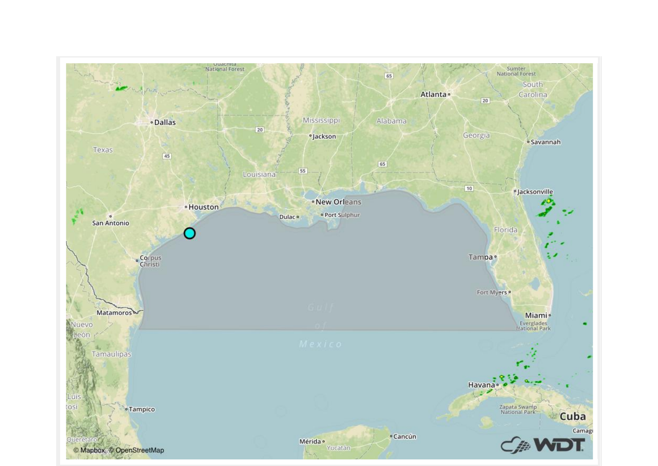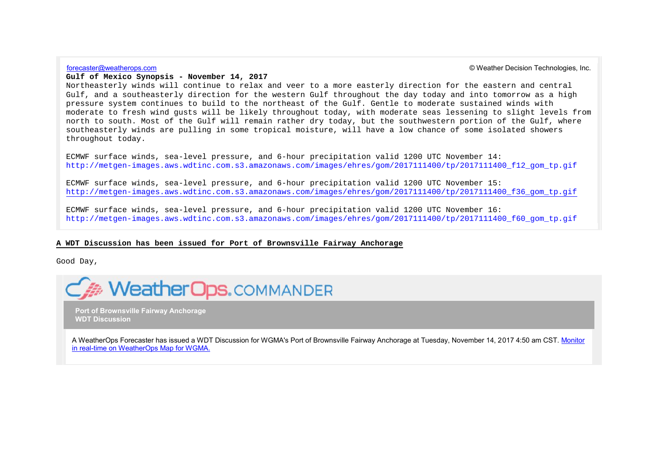### **Gulf of Mexico Synopsis - November 14, 2017**

Northeasterly winds will continue to relax and veer to a more easterly direction for the eastern and central Gulf, and a southeasterly direction for the western Gulf throughout the day today and into tomorrow as a high pressure system continues to build to the northeast of the Gulf. Gentle to moderate sustained winds with moderate to fresh wind gusts will be likely throughout today, with moderate seas lessening to slight levels from north to south. Most of the Gulf will remain rather dry today, but the southwestern portion of the Gulf, where southeasterly winds are pulling in some tropical moisture, will have a low chance of some isolated showers throughout today.

ECMWF surface winds, sea-level pressure, and 6-hour precipitation valid 1200 UTC November 14: http://metgen-images.aws.wdtinc.com.s3.amazonaws.com/images/ehres/gom/2017111400/tp/2017111400\_f12\_gom\_tp.gif

ECMWF surface winds, sea-level pressure, and 6-hour precipitation valid 1200 UTC November 15: http://metgen-images.aws.wdtinc.com.s3.amazonaws.com/images/ehres/gom/2017111400/tp/2017111400\_f36\_gom\_tp.gif

ECMWF surface winds, sea-level pressure, and 6-hour precipitation valid 1200 UTC November 16: http://metgen-images.aws.wdtinc.com.s3.amazonaws.com/images/ehres/gom/2017111400/tp/2017111400\_f60\_gom\_tp.gif

## **A WDT Discussion has been issued for Port of Brownsville Fairway Anchorage**

Good Day,



**Port of Brownsville Fairway Anchorage WDT Discussion**

A WeatherOps Forecaster has issued a WDT Discussion for WGMA's Port of Brownsville Fairway Anchorage at Tuesday, November 14, 2017 4:50 am CST. Monitor in real-time on WeatherOps Map for WGMA.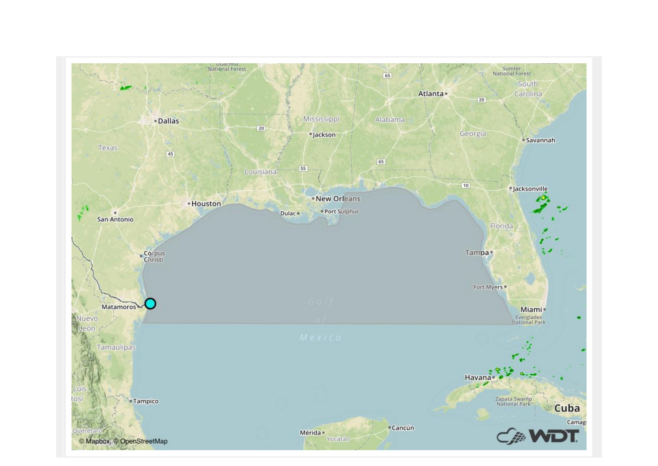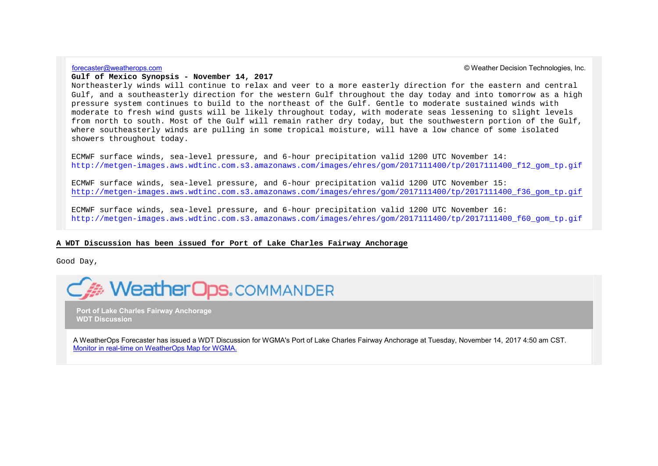### **Gulf of Mexico Synopsis - November 14, 2017**

Northeasterly winds will continue to relax and veer to a more easterly direction for the eastern and central Gulf, and a southeasterly direction for the western Gulf throughout the day today and into tomorrow as a high pressure system continues to build to the northeast of the Gulf. Gentle to moderate sustained winds with moderate to fresh wind gusts will be likely throughout today, with moderate seas lessening to slight levels from north to south. Most of the Gulf will remain rather dry today, but the southwestern portion of the Gulf, where southeasterly winds are pulling in some tropical moisture, will have a low chance of some isolated showers throughout today.

ECMWF surface winds, sea-level pressure, and 6-hour precipitation valid 1200 UTC November 14: http://metgen-images.aws.wdtinc.com.s3.amazonaws.com/images/ehres/gom/2017111400/tp/2017111400\_f12\_gom\_tp.gif

ECMWF surface winds, sea-level pressure, and 6-hour precipitation valid 1200 UTC November 15: http://metgen-images.aws.wdtinc.com.s3.amazonaws.com/images/ehres/gom/2017111400/tp/2017111400\_f36\_gom\_tp.gif

ECMWF surface winds, sea-level pressure, and 6-hour precipitation valid 1200 UTC November 16: http://metgen-images.aws.wdtinc.com.s3.amazonaws.com/images/ehres/gom/2017111400/tp/2017111400\_f60\_gom\_tp.gif

### **A WDT Discussion has been issued for Port of Lake Charles Fairway Anchorage**

Good Day,



**Port of Lake Charles Fairway Anchorage WDT Discussion**

A WeatherOps Forecaster has issued a WDT Discussion for WGMA's Port of Lake Charles Fairway Anchorage at Tuesday, November 14, 2017 4:50 am CST. Monitor in real-time on WeatherOps Map for WGMA.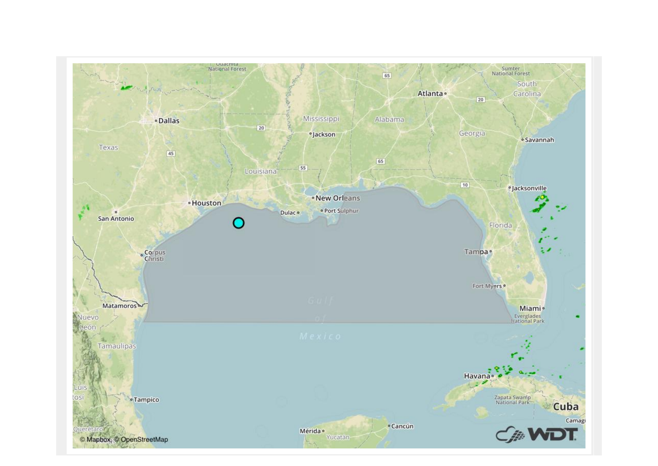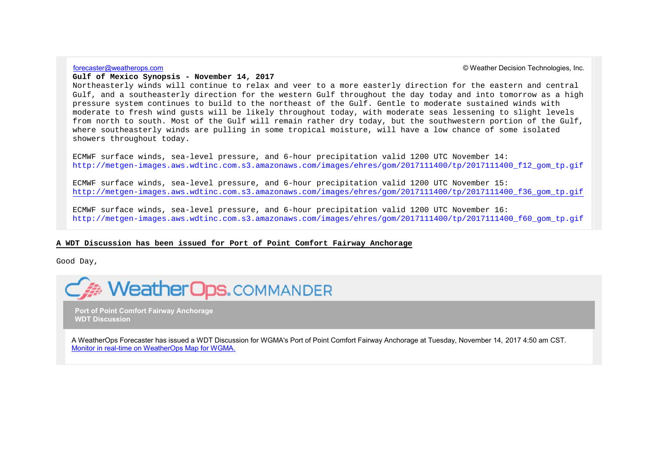### **Gulf of Mexico Synopsis - November 14, 2017**

Northeasterly winds will continue to relax and veer to a more easterly direction for the eastern and central Gulf, and a southeasterly direction for the western Gulf throughout the day today and into tomorrow as a high pressure system continues to build to the northeast of the Gulf. Gentle to moderate sustained winds with moderate to fresh wind gusts will be likely throughout today, with moderate seas lessening to slight levels from north to south. Most of the Gulf will remain rather dry today, but the southwestern portion of the Gulf, where southeasterly winds are pulling in some tropical moisture, will have a low chance of some isolated showers throughout today.

ECMWF surface winds, sea-level pressure, and 6-hour precipitation valid 1200 UTC November 14: http://metgen-images.aws.wdtinc.com.s3.amazonaws.com/images/ehres/gom/2017111400/tp/2017111400\_f12\_gom\_tp.gif

ECMWF surface winds, sea-level pressure, and 6-hour precipitation valid 1200 UTC November 15: http://metgen-images.aws.wdtinc.com.s3.amazonaws.com/images/ehres/gom/2017111400/tp/2017111400\_f36\_gom\_tp.gif

ECMWF surface winds, sea-level pressure, and 6-hour precipitation valid 1200 UTC November 16: http://metgen-images.aws.wdtinc.com.s3.amazonaws.com/images/ehres/gom/2017111400/tp/2017111400\_f60\_gom\_tp.gif

### **A WDT Discussion has been issued for Port of Point Comfort Fairway Anchorage**

Good Day,



**Port of Point Comfort Fairway Anchorage WDT Discussion**

A WeatherOps Forecaster has issued a WDT Discussion for WGMA's Port of Point Comfort Fairway Anchorage at Tuesday, November 14, 2017 4:50 am CST. Monitor in real-time on WeatherOps Map for WGMA.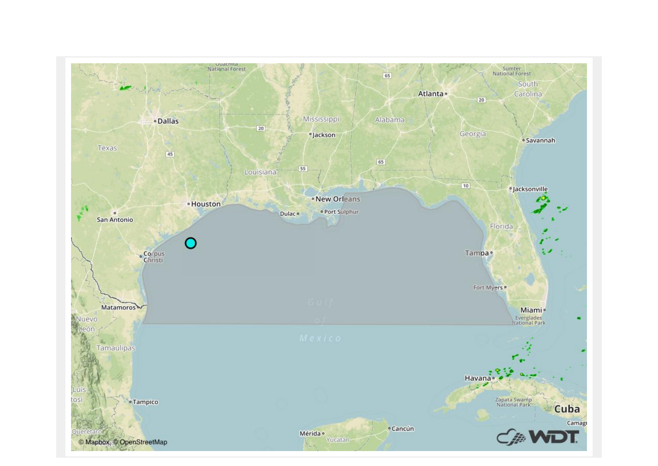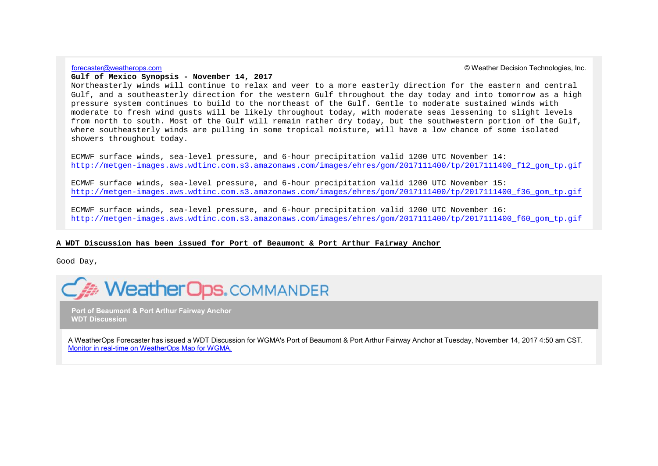### **Gulf of Mexico Synopsis - November 14, 2017**

Northeasterly winds will continue to relax and veer to a more easterly direction for the eastern and central Gulf, and a southeasterly direction for the western Gulf throughout the day today and into tomorrow as a high pressure system continues to build to the northeast of the Gulf. Gentle to moderate sustained winds with moderate to fresh wind gusts will be likely throughout today, with moderate seas lessening to slight levels from north to south. Most of the Gulf will remain rather dry today, but the southwestern portion of the Gulf, where southeasterly winds are pulling in some tropical moisture, will have a low chance of some isolated showers throughout today.

ECMWF surface winds, sea-level pressure, and 6-hour precipitation valid 1200 UTC November 14: http://metgen-images.aws.wdtinc.com.s3.amazonaws.com/images/ehres/gom/2017111400/tp/2017111400\_f12\_gom\_tp.gif

ECMWF surface winds, sea-level pressure, and 6-hour precipitation valid 1200 UTC November 15: http://metgen-images.aws.wdtinc.com.s3.amazonaws.com/images/ehres/gom/2017111400/tp/2017111400\_f36\_gom\_tp.gif

ECMWF surface winds, sea-level pressure, and 6-hour precipitation valid 1200 UTC November 16: http://metgen-images.aws.wdtinc.com.s3.amazonaws.com/images/ehres/gom/2017111400/tp/2017111400\_f60\_gom\_tp.gif

## **A WDT Discussion has been issued for Port of Beaumont & Port Arthur Fairway Anchor**

Good Day,



**Port of Beaumont & Port Arthur Fairway Anchor WDT Discussion**

A WeatherOps Forecaster has issued a WDT Discussion for WGMA's Port of Beaumont & Port Arthur Fairway Anchor at Tuesday, November 14, 2017 4:50 am CST. Monitor in real-time on WeatherOps Map for WGMA.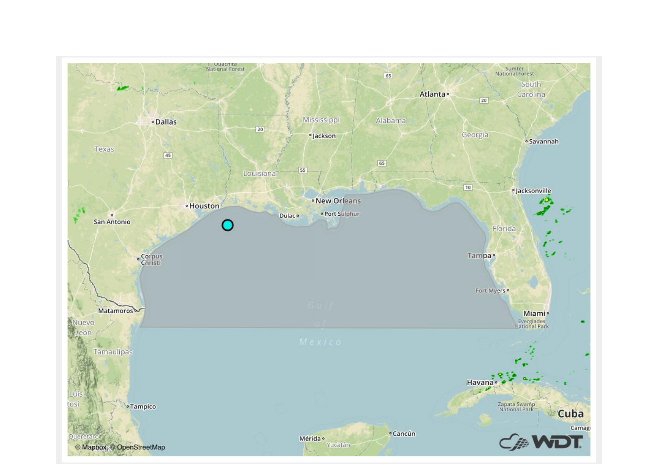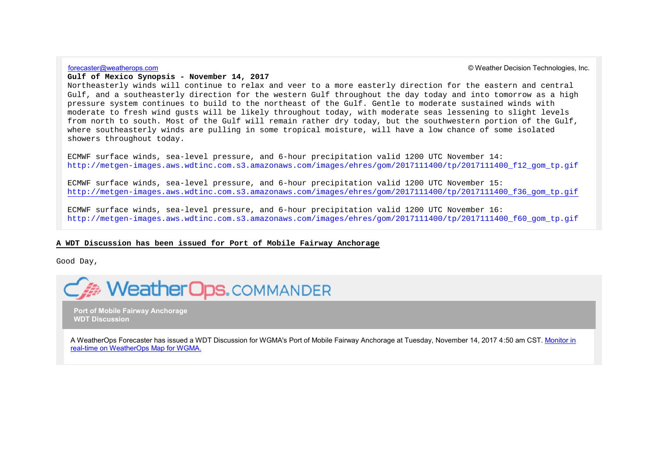### **Gulf of Mexico Synopsis - November 14, 2017**

Northeasterly winds will continue to relax and veer to a more easterly direction for the eastern and central Gulf, and a southeasterly direction for the western Gulf throughout the day today and into tomorrow as a high pressure system continues to build to the northeast of the Gulf. Gentle to moderate sustained winds with moderate to fresh wind gusts will be likely throughout today, with moderate seas lessening to slight levels from north to south. Most of the Gulf will remain rather dry today, but the southwestern portion of the Gulf, where southeasterly winds are pulling in some tropical moisture, will have a low chance of some isolated showers throughout today.

ECMWF surface winds, sea-level pressure, and 6-hour precipitation valid 1200 UTC November 14: http://metgen-images.aws.wdtinc.com.s3.amazonaws.com/images/ehres/gom/2017111400/tp/2017111400\_f12\_gom\_tp.gif

ECMWF surface winds, sea-level pressure, and 6-hour precipitation valid 1200 UTC November 15: http://metgen-images.aws.wdtinc.com.s3.amazonaws.com/images/ehres/gom/2017111400/tp/2017111400\_f36\_gom\_tp.gif

ECMWF surface winds, sea-level pressure, and 6-hour precipitation valid 1200 UTC November 16: http://metgen-images.aws.wdtinc.com.s3.amazonaws.com/images/ehres/gom/2017111400/tp/2017111400\_f60\_gom\_tp.gif

## **A WDT Discussion has been issued for Port of Mobile Fairway Anchorage**

Good Day,



**Port of Mobile Fairway Anchorage WDT Discussion**

A WeatherOps Forecaster has issued a WDT Discussion for WGMA's Port of Mobile Fairway Anchorage at Tuesday, November 14, 2017 4:50 am CST. Monitor in real-time on WeatherOps Map for WGMA.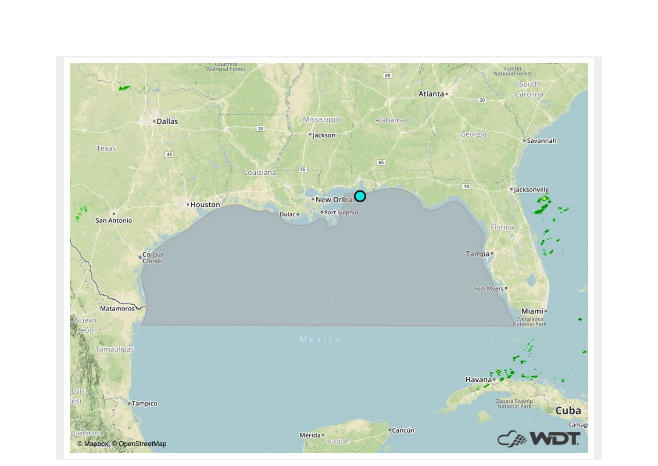